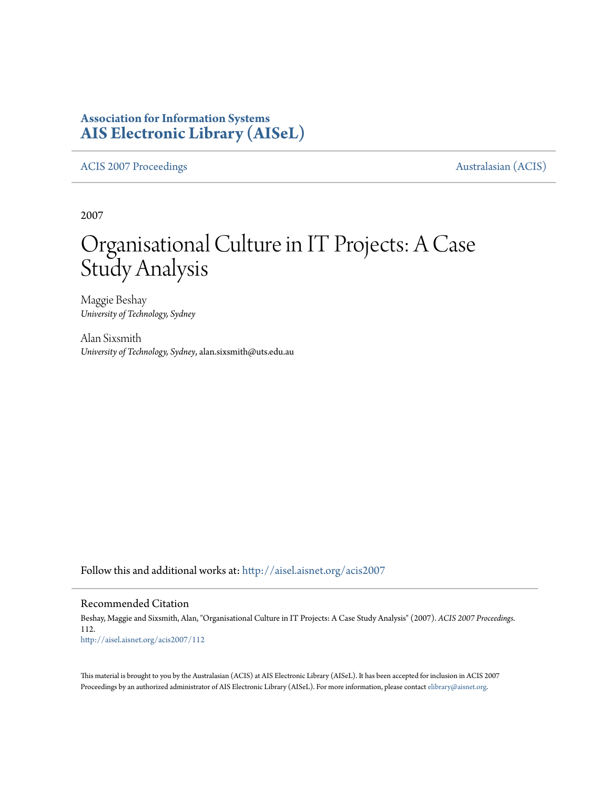## **Association for Information Systems [AIS Electronic Library \(AISeL\)](http://aisel.aisnet.org?utm_source=aisel.aisnet.org%2Facis2007%2F112&utm_medium=PDF&utm_campaign=PDFCoverPages)**

[ACIS 2007 Proceedings](http://aisel.aisnet.org/acis2007?utm_source=aisel.aisnet.org%2Facis2007%2F112&utm_medium=PDF&utm_campaign=PDFCoverPages) **Australasian** (ACIS)

2007

# Organisational Culture in IT Projects: A Case Study Analysis

Maggie Beshay *University of Technology, Sydney*

Alan Sixsmith *University of Technology, Sydney*, alan.sixsmith@uts.edu.au

Follow this and additional works at: [http://aisel.aisnet.org/acis2007](http://aisel.aisnet.org/acis2007?utm_source=aisel.aisnet.org%2Facis2007%2F112&utm_medium=PDF&utm_campaign=PDFCoverPages)

#### Recommended Citation

Beshay, Maggie and Sixsmith, Alan, "Organisational Culture in IT Projects: A Case Study Analysis" (2007). *ACIS 2007 Proceedings*. 112. [http://aisel.aisnet.org/acis2007/112](http://aisel.aisnet.org/acis2007/112?utm_source=aisel.aisnet.org%2Facis2007%2F112&utm_medium=PDF&utm_campaign=PDFCoverPages)

This material is brought to you by the Australasian (ACIS) at AIS Electronic Library (AISeL). It has been accepted for inclusion in ACIS 2007 Proceedings by an authorized administrator of AIS Electronic Library (AISeL). For more information, please contact [elibrary@aisnet.org](mailto:elibrary@aisnet.org%3E).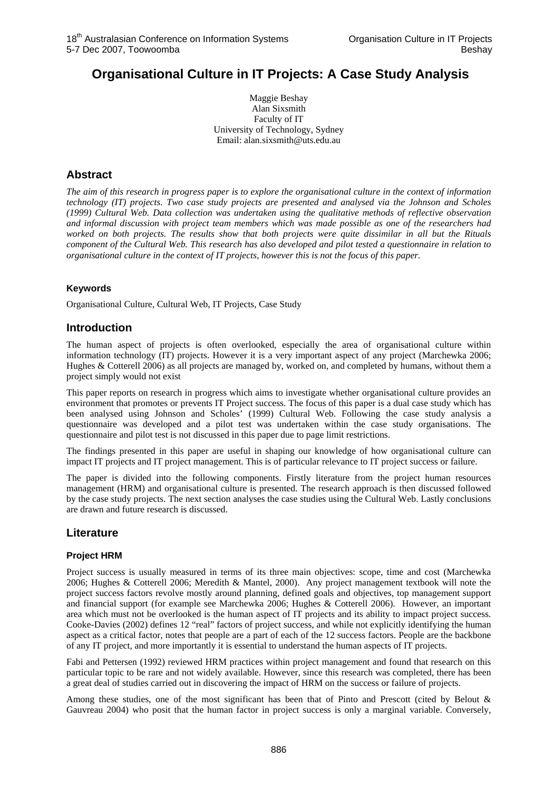# **Organisational Culture in IT Projects: A Case Study Analysis**

Maggie Beshay Alan Sixsmith Faculty of IT University of Technology, Sydney Email: alan.sixsmith@uts.edu.au

## **Abstract**

*The aim of this research in progress paper is to explore the organisational culture in the context of information technology (IT) projects. Two case study projects are presented and analysed via the Johnson and Scholes (1999) Cultural Web. Data collection was undertaken using the qualitative methods of reflective observation and informal discussion with project team members which was made possible as one of the researchers had worked on both projects. The results show that both projects were quite dissimilar in all but the Rituals component of the Cultural Web. This research has also developed and pilot tested a questionnaire in relation to organisational culture in the context of IT projects, however this is not the focus of this paper.* 

## **Keywords**

Organisational Culture, Cultural Web, IT Projects, Case Study

## **Introduction**

The human aspect of projects is often overlooked, especially the area of organisational culture within information technology (IT) projects. However it is a very important aspect of any project (Marchewka 2006; Hughes & Cotterell 2006) as all projects are managed by, worked on, and completed by humans, without them a project simply would not exist

This paper reports on research in progress which aims to investigate whether organisational culture provides an environment that promotes or prevents IT Project success. The focus of this paper is a dual case study which has been analysed using Johnson and Scholes' (1999) Cultural Web. Following the case study analysis a questionnaire was developed and a pilot test was undertaken within the case study organisations. The questionnaire and pilot test is not discussed in this paper due to page limit restrictions.

The findings presented in this paper are useful in shaping our knowledge of how organisational culture can impact IT projects and IT project management. This is of particular relevance to IT project success or failure.

The paper is divided into the following components. Firstly literature from the project human resources management (HRM) and organisational culture is presented. The research approach is then discussed followed by the case study projects. The next section analyses the case studies using the Cultural Web. Lastly conclusions are drawn and future research is discussed.

## **Literature**

#### **Project HRM**

Project success is usually measured in terms of its three main objectives: scope, time and cost (Marchewka 2006; Hughes & Cotterell 2006; Meredith & Mantel, 2000). Any project management textbook will note the project success factors revolve mostly around planning, defined goals and objectives, top management support and financial support (for example see Marchewka 2006; Hughes & Cotterell 2006). However, an important area which must not be overlooked is the human aspect of IT projects and its ability to impact project success. Cooke-Davies (2002) defines 12 "real" factors of project success, and while not explicitly identifying the human aspect as a critical factor, notes that people are a part of each of the 12 success factors. People are the backbone of any IT project, and more importantly it is essential to understand the human aspects of IT projects.

Fabi and Pettersen (1992) reviewed HRM practices within project management and found that research on this particular topic to be rare and not widely available. However, since this research was completed, there has been a great deal of studies carried out in discovering the impact of HRM on the success or failure of projects.

Among these studies, one of the most significant has been that of Pinto and Prescott (cited by Belout & Gauvreau 2004) who posit that the human factor in project success is only a marginal variable. Conversely,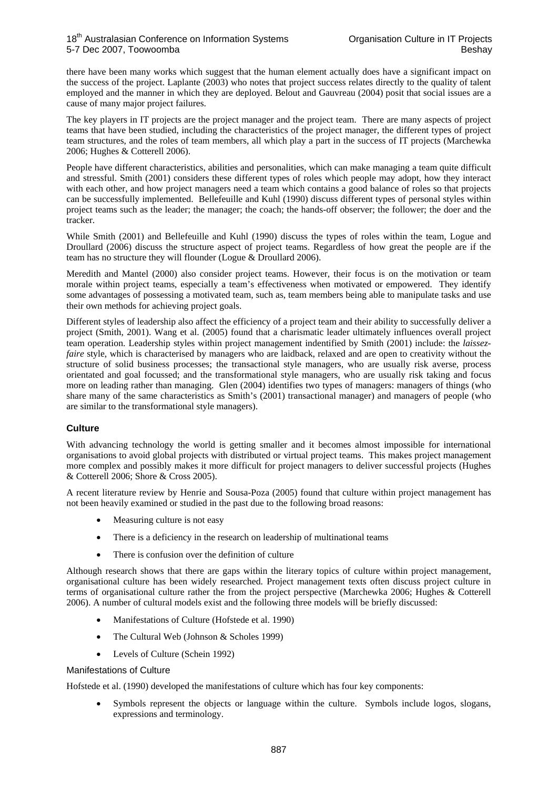there have been many works which suggest that the human element actually does have a significant impact on the success of the project. Laplante (2003) who notes that project success relates directly to the quality of talent employed and the manner in which they are deployed. Belout and Gauvreau (2004) posit that social issues are a cause of many major project failures.

The key players in IT projects are the project manager and the project team. There are many aspects of project teams that have been studied, including the characteristics of the project manager, the different types of project team structures, and the roles of team members, all which play a part in the success of IT projects (Marchewka 2006; Hughes & Cotterell 2006).

People have different characteristics, abilities and personalities, which can make managing a team quite difficult and stressful. Smith (2001) considers these different types of roles which people may adopt, how they interact with each other, and how project managers need a team which contains a good balance of roles so that projects can be successfully implemented. Bellefeuille and Kuhl (1990) discuss different types of personal styles within project teams such as the leader; the manager; the coach; the hands-off observer; the follower; the doer and the tracker.

While Smith (2001) and Bellefeuille and Kuhl (1990) discuss the types of roles within the team, Logue and Droullard (2006) discuss the structure aspect of project teams. Regardless of how great the people are if the team has no structure they will flounder (Logue & Droullard 2006).

Meredith and Mantel (2000) also consider project teams. However, their focus is on the motivation or team morale within project teams, especially a team's effectiveness when motivated or empowered. They identify some advantages of possessing a motivated team, such as, team members being able to manipulate tasks and use their own methods for achieving project goals.

Different styles of leadership also affect the efficiency of a project team and their ability to successfully deliver a project (Smith, 2001). Wang et al. (2005) found that a charismatic leader ultimately influences overall project team operation. Leadership styles within project management indentified by Smith (2001) include: the *laissezfaire* style, which is characterised by managers who are laidback, relaxed and are open to creativity without the structure of solid business processes; the transactional style managers, who are usually risk averse, process orientated and goal focussed; and the transformational style managers, who are usually risk taking and focus more on leading rather than managing. Glen (2004) identifies two types of managers: managers of things (who share many of the same characteristics as Smith's (2001) transactional manager) and managers of people (who are similar to the transformational style managers).

#### **Culture**

With advancing technology the world is getting smaller and it becomes almost impossible for international organisations to avoid global projects with distributed or virtual project teams. This makes project management more complex and possibly makes it more difficult for project managers to deliver successful projects (Hughes & Cotterell 2006; Shore & Cross 2005).

A recent literature review by Henrie and Sousa-Poza (2005) found that culture within project management has not been heavily examined or studied in the past due to the following broad reasons:

- Measuring culture is not easy
- There is a deficiency in the research on leadership of multinational teams
- There is confusion over the definition of culture

Although research shows that there are gaps within the literary topics of culture within project management, organisational culture has been widely researched. Project management texts often discuss project culture in terms of organisational culture rather the from the project perspective (Marchewka 2006; Hughes & Cotterell 2006). A number of cultural models exist and the following three models will be briefly discussed:

- Manifestations of Culture (Hofstede et al. 1990)
- The Cultural Web (Johnson & Scholes 1999)
- Levels of Culture (Schein 1992)

#### Manifestations of Culture

Hofstede et al. (1990) developed the manifestations of culture which has four key components:

• Symbols represent the objects or language within the culture. Symbols include logos, slogans, expressions and terminology.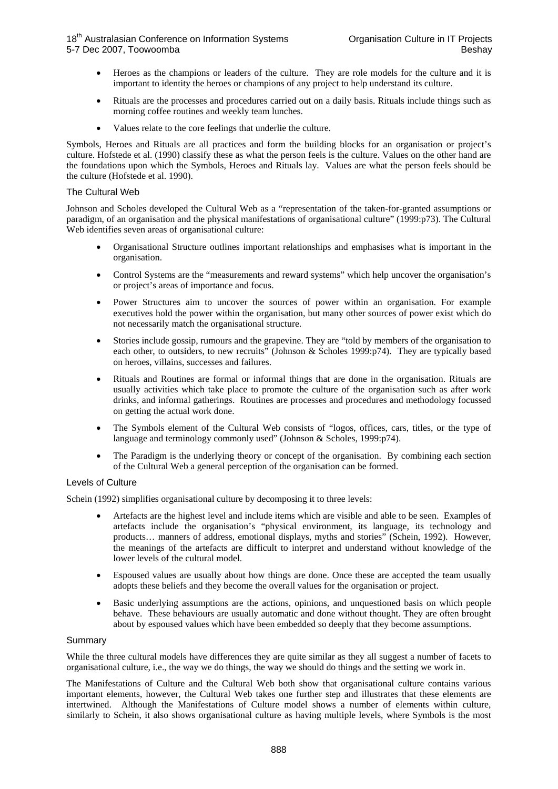- Heroes as the champions or leaders of the culture. They are role models for the culture and it is important to identity the heroes or champions of any project to help understand its culture.
- Rituals are the processes and procedures carried out on a daily basis. Rituals include things such as morning coffee routines and weekly team lunches.
- Values relate to the core feelings that underlie the culture.

Symbols, Heroes and Rituals are all practices and form the building blocks for an organisation or project's culture. Hofstede et al. (1990) classify these as what the person feels is the culture. Values on the other hand are the foundations upon which the Symbols, Heroes and Rituals lay. Values are what the person feels should be the culture (Hofstede et al. 1990).

#### The Cultural Web

Johnson and Scholes developed the Cultural Web as a "representation of the taken-for-granted assumptions or paradigm, of an organisation and the physical manifestations of organisational culture" (1999:p73). The Cultural Web identifies seven areas of organisational culture:

- Organisational Structure outlines important relationships and emphasises what is important in the organisation.
- Control Systems are the "measurements and reward systems" which help uncover the organisation's or project's areas of importance and focus.
- Power Structures aim to uncover the sources of power within an organisation. For example executives hold the power within the organisation, but many other sources of power exist which do not necessarily match the organisational structure.
- Stories include gossip, rumours and the grapevine. They are "told by members of the organisation to each other, to outsiders, to new recruits" (Johnson & Scholes 1999:p74). They are typically based on heroes, villains, successes and failures.
- Rituals and Routines are formal or informal things that are done in the organisation. Rituals are usually activities which take place to promote the culture of the organisation such as after work drinks, and informal gatherings. Routines are processes and procedures and methodology focussed on getting the actual work done.
- The Symbols element of the Cultural Web consists of "logos, offices, cars, titles, or the type of language and terminology commonly used" (Johnson & Scholes, 1999:p74).
- The Paradigm is the underlying theory or concept of the organisation. By combining each section of the Cultural Web a general perception of the organisation can be formed.

#### Levels of Culture

Schein (1992) simplifies organisational culture by decomposing it to three levels:

- Artefacts are the highest level and include items which are visible and able to be seen. Examples of artefacts include the organisation's "physical environment, its language, its technology and products… manners of address, emotional displays, myths and stories" (Schein, 1992). However, the meanings of the artefacts are difficult to interpret and understand without knowledge of the lower levels of the cultural model.
- Espoused values are usually about how things are done. Once these are accepted the team usually adopts these beliefs and they become the overall values for the organisation or project.
- Basic underlying assumptions are the actions, opinions, and unquestioned basis on which people behave. These behaviours are usually automatic and done without thought. They are often brought about by espoused values which have been embedded so deeply that they become assumptions.

#### Summary

While the three cultural models have differences they are quite similar as they all suggest a number of facets to organisational culture, i.e., the way we do things, the way we should do things and the setting we work in.

The Manifestations of Culture and the Cultural Web both show that organisational culture contains various important elements, however, the Cultural Web takes one further step and illustrates that these elements are intertwined. Although the Manifestations of Culture model shows a number of elements within culture, similarly to Schein, it also shows organisational culture as having multiple levels, where Symbols is the most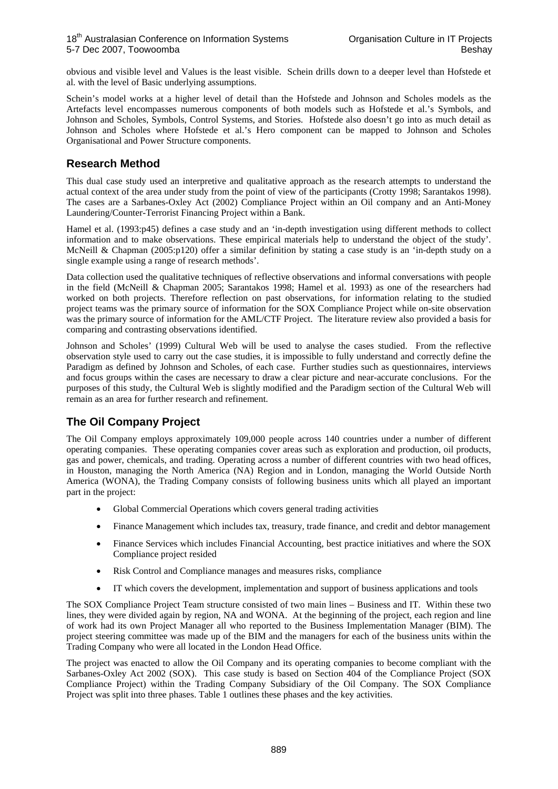obvious and visible level and Values is the least visible. Schein drills down to a deeper level than Hofstede et al. with the level of Basic underlying assumptions.

Schein's model works at a higher level of detail than the Hofstede and Johnson and Scholes models as the Artefacts level encompasses numerous components of both models such as Hofstede et al.'s Symbols, and Johnson and Scholes, Symbols, Control Systems, and Stories. Hofstede also doesn't go into as much detail as Johnson and Scholes where Hofstede et al.'s Hero component can be mapped to Johnson and Scholes Organisational and Power Structure components.

## **Research Method**

This dual case study used an interpretive and qualitative approach as the research attempts to understand the actual context of the area under study from the point of view of the participants (Crotty 1998; Sarantakos 1998). The cases are a Sarbanes-Oxley Act (2002) Compliance Project within an Oil company and an Anti-Money Laundering/Counter-Terrorist Financing Project within a Bank.

Hamel et al. (1993:p45) defines a case study and an 'in-depth investigation using different methods to collect information and to make observations. These empirical materials help to understand the object of the study'. McNeill & Chapman (2005:p120) offer a similar definition by stating a case study is an 'in-depth study on a single example using a range of research methods'.

Data collection used the qualitative techniques of reflective observations and informal conversations with people in the field (McNeill & Chapman 2005; Sarantakos 1998; Hamel et al. 1993) as one of the researchers had worked on both projects. Therefore reflection on past observations, for information relating to the studied project teams was the primary source of information for the SOX Compliance Project while on-site observation was the primary source of information for the AML/CTF Project. The literature review also provided a basis for comparing and contrasting observations identified.

Johnson and Scholes' (1999) Cultural Web will be used to analyse the cases studied. From the reflective observation style used to carry out the case studies, it is impossible to fully understand and correctly define the Paradigm as defined by Johnson and Scholes, of each case. Further studies such as questionnaires, interviews and focus groups within the cases are necessary to draw a clear picture and near-accurate conclusions. For the purposes of this study, the Cultural Web is slightly modified and the Paradigm section of the Cultural Web will remain as an area for further research and refinement.

## **The Oil Company Project**

The Oil Company employs approximately 109,000 people across 140 countries under a number of different operating companies. These operating companies cover areas such as exploration and production, oil products, gas and power, chemicals, and trading. Operating across a number of different countries with two head offices, in Houston, managing the North America (NA) Region and in London, managing the World Outside North America (WONA), the Trading Company consists of following business units which all played an important part in the project:

- Global Commercial Operations which covers general trading activities
- Finance Management which includes tax, treasury, trade finance, and credit and debtor management
- Finance Services which includes Financial Accounting, best practice initiatives and where the SOX Compliance project resided
- Risk Control and Compliance manages and measures risks, compliance
- IT which covers the development, implementation and support of business applications and tools

The SOX Compliance Project Team structure consisted of two main lines – Business and IT. Within these two lines, they were divided again by region, NA and WONA. At the beginning of the project, each region and line of work had its own Project Manager all who reported to the Business Implementation Manager (BIM). The project steering committee was made up of the BIM and the managers for each of the business units within the Trading Company who were all located in the London Head Office.

The project was enacted to allow the Oil Company and its operating companies to become compliant with the Sarbanes-Oxley Act 2002 (SOX). This case study is based on Section 404 of the Compliance Project (SOX Compliance Project) within the Trading Company Subsidiary of the Oil Company. The SOX Compliance Project was split into three phases. Table 1 outlines these phases and the key activities.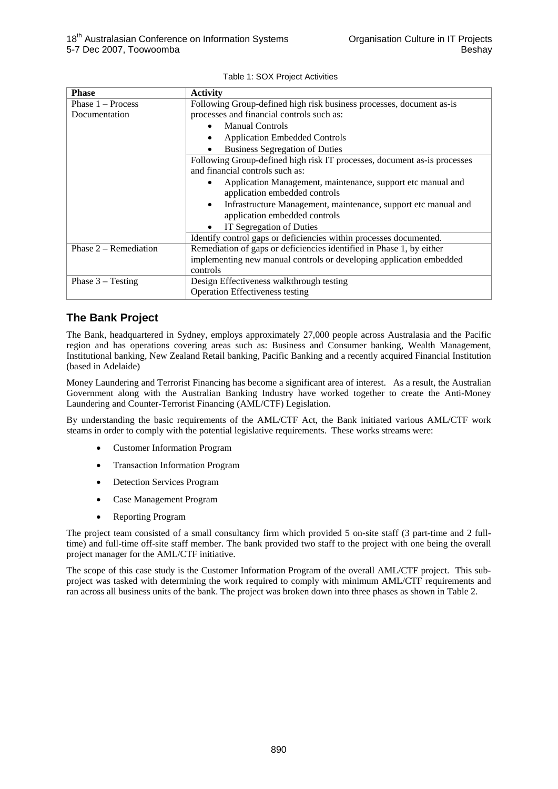|  | Table 1: SOX Project Activities |
|--|---------------------------------|
|--|---------------------------------|

| <b>Phase</b>            | <b>Activity</b>                                                                                              |  |  |  |
|-------------------------|--------------------------------------------------------------------------------------------------------------|--|--|--|
| Phase $1 -$ Process     | Following Group-defined high risk business processes, document as-is                                         |  |  |  |
| Documentation           | processes and financial controls such as:                                                                    |  |  |  |
|                         | <b>Manual Controls</b><br>$\bullet$                                                                          |  |  |  |
|                         | <b>Application Embedded Controls</b><br>$\bullet$                                                            |  |  |  |
|                         | <b>Business Segregation of Duties</b>                                                                        |  |  |  |
|                         | Following Group-defined high risk IT processes, document as-is processes<br>and financial controls such as:  |  |  |  |
|                         | Application Management, maintenance, support etc manual and<br>٠<br>application embedded controls            |  |  |  |
|                         | Infrastructure Management, maintenance, support etc manual and<br>$\bullet$<br>application embedded controls |  |  |  |
|                         | IT Segregation of Duties<br>٠                                                                                |  |  |  |
|                         | Identify control gaps or deficiencies within processes documented.                                           |  |  |  |
| Phase $2 -$ Remediation | Remediation of gaps or deficiencies identified in Phase 1, by either                                         |  |  |  |
|                         | implementing new manual controls or developing application embedded                                          |  |  |  |
|                         | controls                                                                                                     |  |  |  |
| Phase $3 - Testing$     | Design Effectiveness walkthrough testing                                                                     |  |  |  |
|                         | <b>Operation Effectiveness testing</b>                                                                       |  |  |  |

## **The Bank Project**

The Bank, headquartered in Sydney, employs approximately 27,000 people across Australasia and the Pacific region and has operations covering areas such as: Business and Consumer banking, Wealth Management, Institutional banking, New Zealand Retail banking, Pacific Banking and a recently acquired Financial Institution (based in Adelaide)

Money Laundering and Terrorist Financing has become a significant area of interest. As a result, the Australian Government along with the Australian Banking Industry have worked together to create the Anti-Money Laundering and Counter-Terrorist Financing (AML/CTF) Legislation.

By understanding the basic requirements of the AML/CTF Act, the Bank initiated various AML/CTF work steams in order to comply with the potential legislative requirements. These works streams were:

- Customer Information Program
- Transaction Information Program
- Detection Services Program
- Case Management Program
- Reporting Program

The project team consisted of a small consultancy firm which provided 5 on-site staff (3 part-time and 2 fulltime) and full-time off-site staff member. The bank provided two staff to the project with one being the overall project manager for the AML/CTF initiative.

The scope of this case study is the Customer Information Program of the overall AML/CTF project. This subproject was tasked with determining the work required to comply with minimum AML/CTF requirements and ran across all business units of the bank. The project was broken down into three phases as shown in Table 2.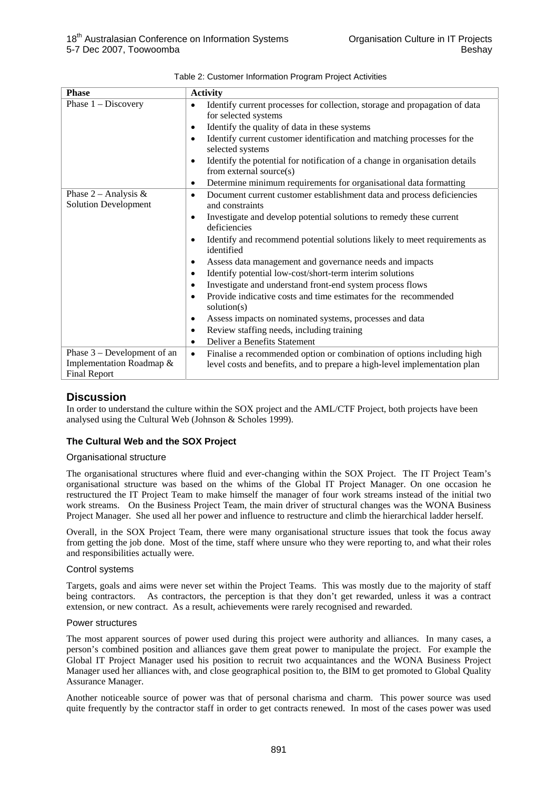| <b>Phase</b>                                          | <b>Activity</b>                                                                                                     |  |  |
|-------------------------------------------------------|---------------------------------------------------------------------------------------------------------------------|--|--|
| Phase $1 -$ Discovery                                 | Identify current processes for collection, storage and propagation of data<br>$\bullet$<br>for selected systems     |  |  |
|                                                       | Identify the quality of data in these systems<br>$\bullet$                                                          |  |  |
|                                                       | Identify current customer identification and matching processes for the<br>$\bullet$                                |  |  |
|                                                       | selected systems                                                                                                    |  |  |
|                                                       | Identify the potential for notification of a change in organisation details<br>$\bullet$<br>from external source(s) |  |  |
|                                                       | Determine minimum requirements for organisational data formatting<br>$\bullet$                                      |  |  |
| Phase $2$ – Analysis &<br><b>Solution Development</b> | Document current customer establishment data and process deficiencies<br>$\bullet$<br>and constraints               |  |  |
|                                                       | Investigate and develop potential solutions to remedy these current<br>$\bullet$                                    |  |  |
|                                                       | deficiencies                                                                                                        |  |  |
|                                                       | Identify and recommend potential solutions likely to meet requirements as<br>$\bullet$<br>identified                |  |  |
|                                                       | Assess data management and governance needs and impacts<br>$\bullet$                                                |  |  |
|                                                       | Identify potential low-cost/short-term interim solutions<br>$\bullet$                                               |  |  |
|                                                       | Investigate and understand front-end system process flows<br>$\bullet$                                              |  |  |
|                                                       | Provide indicative costs and time estimates for the recommended<br>$\bullet$<br>solution $(s)$                      |  |  |
|                                                       | Assess impacts on nominated systems, processes and data<br>$\bullet$                                                |  |  |
|                                                       | Review staffing needs, including training<br>$\bullet$                                                              |  |  |
|                                                       | Deliver a Benefits Statement<br>$\bullet$                                                                           |  |  |
| Phase $3$ – Development of an                         | Finalise a recommended option or combination of options including high<br>$\bullet$                                 |  |  |
| Implementation Roadmap &<br><b>Final Report</b>       | level costs and benefits, and to prepare a high-level implementation plan                                           |  |  |

| Table 2: Customer Information Program Project Activities |  |
|----------------------------------------------------------|--|
|                                                          |  |

## **Discussion**

In order to understand the culture within the SOX project and the AML/CTF Project, both projects have been analysed using the Cultural Web (Johnson & Scholes 1999).

#### **The Cultural Web and the SOX Project**

#### Organisational structure

The organisational structures where fluid and ever-changing within the SOX Project. The IT Project Team's organisational structure was based on the whims of the Global IT Project Manager. On one occasion he restructured the IT Project Team to make himself the manager of four work streams instead of the initial two work streams. On the Business Project Team, the main driver of structural changes was the WONA Business Project Manager. She used all her power and influence to restructure and climb the hierarchical ladder herself.

Overall, in the SOX Project Team, there were many organisational structure issues that took the focus away from getting the job done. Most of the time, staff where unsure who they were reporting to, and what their roles and responsibilities actually were.

#### Control systems

Targets, goals and aims were never set within the Project Teams. This was mostly due to the majority of staff being contractors. As contractors, the perception is that they don't get rewarded, unless it was a contract extension, or new contract. As a result, achievements were rarely recognised and rewarded.

#### Power structures

The most apparent sources of power used during this project were authority and alliances. In many cases, a person's combined position and alliances gave them great power to manipulate the project. For example the Global IT Project Manager used his position to recruit two acquaintances and the WONA Business Project Manager used her alliances with, and close geographical position to, the BIM to get promoted to Global Quality Assurance Manager.

Another noticeable source of power was that of personal charisma and charm. This power source was used quite frequently by the contractor staff in order to get contracts renewed. In most of the cases power was used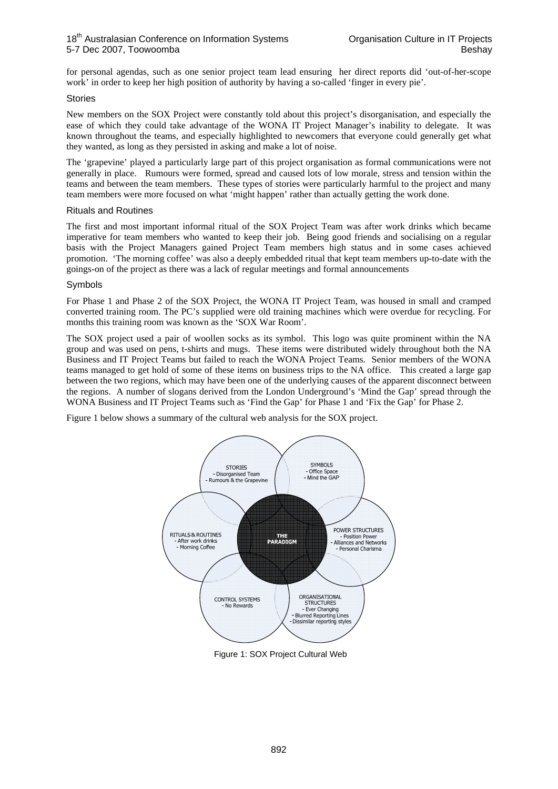for personal agendas, such as one senior project team lead ensuring her direct reports did 'out-of-her-scope work' in order to keep her high position of authority by having a so-called 'finger in every pie'.

#### Stories

New members on the SOX Project were constantly told about this project's disorganisation, and especially the ease of which they could take advantage of the WONA IT Project Manager's inability to delegate. It was known throughout the teams, and especially highlighted to newcomers that everyone could generally get what they wanted, as long as they persisted in asking and make a lot of noise.

The 'grapevine' played a particularly large part of this project organisation as formal communications were not generally in place. Rumours were formed, spread and caused lots of low morale, stress and tension within the teams and between the team members. These types of stories were particularly harmful to the project and many team members were more focused on what 'might happen' rather than actually getting the work done.

#### Rituals and Routines

The first and most important informal ritual of the SOX Project Team was after work drinks which became imperative for team members who wanted to keep their job. Being good friends and socialising on a regular basis with the Project Managers gained Project Team members high status and in some cases achieved promotion. 'The morning coffee' was also a deeply embedded ritual that kept team members up-to-date with the goings-on of the project as there was a lack of regular meetings and formal announcements

#### Symbols

For Phase 1 and Phase 2 of the SOX Project, the WONA IT Project Team, was housed in small and cramped converted training room. The PC's supplied were old training machines which were overdue for recycling. For months this training room was known as the 'SOX War Room'.

The SOX project used a pair of woollen socks as its symbol. This logo was quite prominent within the NA group and was used on pens, t-shirts and mugs. These items were distributed widely throughout both the NA Business and IT Project Teams but failed to reach the WONA Project Teams. Senior members of the WONA teams managed to get hold of some of these items on business trips to the NA office. This created a large gap between the two regions, which may have been one of the underlying causes of the apparent disconnect between the regions. A number of slogans derived from the London Underground's 'Mind the Gap' spread through the WONA Business and IT Project Teams such as 'Find the Gap' for Phase 1 and 'Fix the Gap' for Phase 2.

Figure 1 below shows a summary of the cultural web analysis for the SOX project.



Figure 1: SOX Project Cultural Web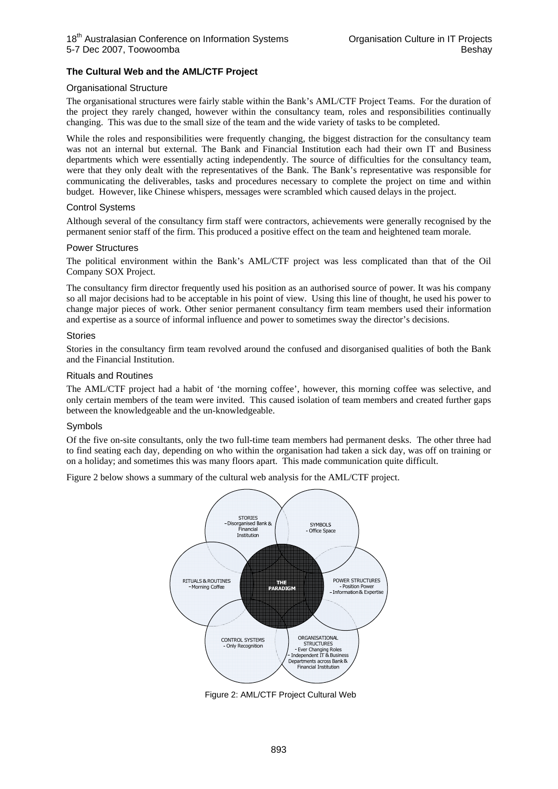#### **The Cultural Web and the AML/CTF Project**

#### Organisational Structure

The organisational structures were fairly stable within the Bank's AML/CTF Project Teams. For the duration of the project they rarely changed, however within the consultancy team, roles and responsibilities continually changing. This was due to the small size of the team and the wide variety of tasks to be completed.

While the roles and responsibilities were frequently changing, the biggest distraction for the consultancy team was not an internal but external. The Bank and Financial Institution each had their own IT and Business departments which were essentially acting independently. The source of difficulties for the consultancy team, were that they only dealt with the representatives of the Bank. The Bank's representative was responsible for communicating the deliverables, tasks and procedures necessary to complete the project on time and within budget. However, like Chinese whispers, messages were scrambled which caused delays in the project.

#### Control Systems

Although several of the consultancy firm staff were contractors, achievements were generally recognised by the permanent senior staff of the firm. This produced a positive effect on the team and heightened team morale.

#### Power Structures

The political environment within the Bank's AML/CTF project was less complicated than that of the Oil Company SOX Project.

The consultancy firm director frequently used his position as an authorised source of power. It was his company so all major decisions had to be acceptable in his point of view. Using this line of thought, he used his power to change major pieces of work. Other senior permanent consultancy firm team members used their information and expertise as a source of informal influence and power to sometimes sway the director's decisions.

#### Stories

Stories in the consultancy firm team revolved around the confused and disorganised qualities of both the Bank and the Financial Institution.

#### Rituals and Routines

The AML/CTF project had a habit of 'the morning coffee', however, this morning coffee was selective, and only certain members of the team were invited. This caused isolation of team members and created further gaps between the knowledgeable and the un-knowledgeable.

#### Symbols

Of the five on-site consultants, only the two full-time team members had permanent desks. The other three had to find seating each day, depending on who within the organisation had taken a sick day, was off on training or on a holiday; and sometimes this was many floors apart. This made communication quite difficult.

Figure 2 below shows a summary of the cultural web analysis for the AML/CTF project.



Figure 2: AML/CTF Project Cultural Web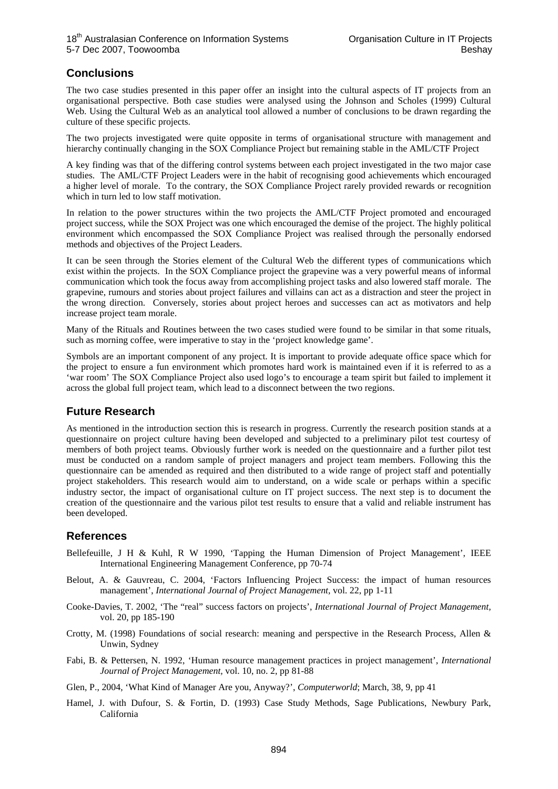## **Conclusions**

The two case studies presented in this paper offer an insight into the cultural aspects of IT projects from an organisational perspective. Both case studies were analysed using the Johnson and Scholes (1999) Cultural Web. Using the Cultural Web as an analytical tool allowed a number of conclusions to be drawn regarding the culture of these specific projects.

The two projects investigated were quite opposite in terms of organisational structure with management and hierarchy continually changing in the SOX Compliance Project but remaining stable in the AML/CTF Project

A key finding was that of the differing control systems between each project investigated in the two major case studies. The AML/CTF Project Leaders were in the habit of recognising good achievements which encouraged a higher level of morale. To the contrary, the SOX Compliance Project rarely provided rewards or recognition which in turn led to low staff motivation.

In relation to the power structures within the two projects the AML/CTF Project promoted and encouraged project success, while the SOX Project was one which encouraged the demise of the project. The highly political environment which encompassed the SOX Compliance Project was realised through the personally endorsed methods and objectives of the Project Leaders.

It can be seen through the Stories element of the Cultural Web the different types of communications which exist within the projects. In the SOX Compliance project the grapevine was a very powerful means of informal communication which took the focus away from accomplishing project tasks and also lowered staff morale. The grapevine, rumours and stories about project failures and villains can act as a distraction and steer the project in the wrong direction. Conversely, stories about project heroes and successes can act as motivators and help increase project team morale.

Many of the Rituals and Routines between the two cases studied were found to be similar in that some rituals, such as morning coffee, were imperative to stay in the 'project knowledge game'.

Symbols are an important component of any project. It is important to provide adequate office space which for the project to ensure a fun environment which promotes hard work is maintained even if it is referred to as a 'war room' The SOX Compliance Project also used logo's to encourage a team spirit but failed to implement it across the global full project team, which lead to a disconnect between the two regions.

## **Future Research**

As mentioned in the introduction section this is research in progress. Currently the research position stands at a questionnaire on project culture having been developed and subjected to a preliminary pilot test courtesy of members of both project teams. Obviously further work is needed on the questionnaire and a further pilot test must be conducted on a random sample of project managers and project team members. Following this the questionnaire can be amended as required and then distributed to a wide range of project staff and potentially project stakeholders. This research would aim to understand, on a wide scale or perhaps within a specific industry sector, the impact of organisational culture on IT project success. The next step is to document the creation of the questionnaire and the various pilot test results to ensure that a valid and reliable instrument has been developed.

## **References**

- Bellefeuille, J H & Kuhl, R W 1990, 'Tapping the Human Dimension of Project Management', IEEE International Engineering Management Conference, pp 70-74
- Belout, A. & Gauvreau, C. 2004, 'Factors Influencing Project Success: the impact of human resources management', *International Journal of Project Management,* vol. 22, pp 1-11
- Cooke-Davies, T. 2002, 'The "real" success factors on projects', *International Journal of Project Management,*  vol. 20, pp 185-190
- Crotty, M. (1998) Foundations of social research: meaning and perspective in the Research Process, Allen & Unwin, Sydney
- Fabi, B. & Pettersen, N. 1992, 'Human resource management practices in project management', *International Journal of Project Management,* vol. 10, no. 2, pp 81-88
- Glen, P., 2004, 'What Kind of Manager Are you, Anyway?', *Computerworld*; March, 38, 9, pp 41
- Hamel, J. with Dufour, S. & Fortin, D. (1993) Case Study Methods, Sage Publications, Newbury Park, California